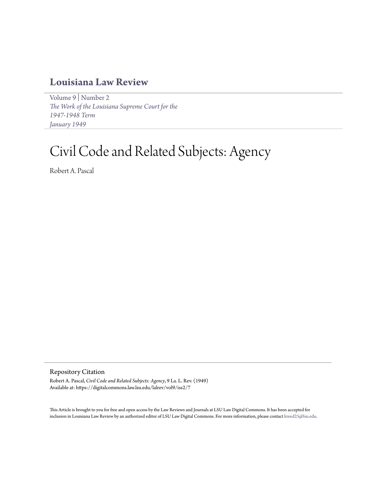## **[Louisiana Law Review](https://digitalcommons.law.lsu.edu/lalrev)**

[Volume 9](https://digitalcommons.law.lsu.edu/lalrev/vol9) | [Number 2](https://digitalcommons.law.lsu.edu/lalrev/vol9/iss2) *[The Work of the Louisiana Supreme Court for the](https://digitalcommons.law.lsu.edu/lalrev/vol9/iss2) [1947-1948 Term](https://digitalcommons.law.lsu.edu/lalrev/vol9/iss2) [January 1949](https://digitalcommons.law.lsu.edu/lalrev/vol9/iss2)*

# Civil Code and Related Subjects: Agency

Robert A. Pascal

Repository Citation

Robert A. Pascal, *Civil Code and Related Subjects: Agency*, 9 La. L. Rev. (1949) Available at: https://digitalcommons.law.lsu.edu/lalrev/vol9/iss2/7

This Article is brought to you for free and open access by the Law Reviews and Journals at LSU Law Digital Commons. It has been accepted for inclusion in Louisiana Law Review by an authorized editor of LSU Law Digital Commons. For more information, please contact [kreed25@lsu.edu](mailto:kreed25@lsu.edu).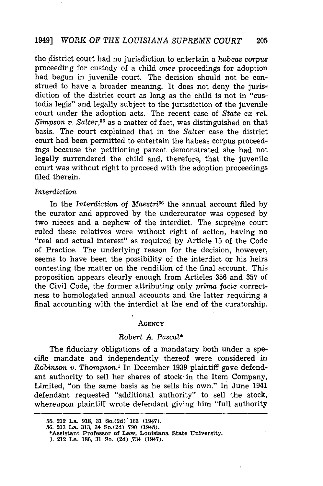the district court had no jurisdiction to entertain a *habeas* corpus proceeding for custody of a child once proceedings for adoption had begun in juvenile court. The decision should not be construed to have a broader meaning. It does not deny the jurisdiction of the district court as long as the child is not in "custodia legis" and legally subject to the jurisdiction of the juvenile court under the adoption acts. The recent case of *State ex rel*. *Simpson v. Salter,55* as a matter of fact, was distinguished on that basis. The court explained that in the *Salter* case the district court had been permitted to entertain the habeas corpus proceedings because the petitioning parent demonstrated she had not legally surrendered the child and, therefore, that the juvenile court was without right to proceed with the adoption proceedings filed therein.

### *Interdiction*

In the *Interdiction* of *Maestri6* the annual account filed by the curator and approved by the undercurator was opposed by two nieces and a nephew of the interdict. The supreme court ruled these relatives were without right of action, having no "real and actual interest" as required by Article 15 of the Code of Practice. The underlying reason for the decision, however, seems to have been the possibility of the interdict or his heirs contesting the matter on the rendition of the final account. This proposition appears clearly enough from Articles 356 and 357 of the Civil Code, the former attributing only *prima* facie correctness to homologated annual accounts and the latter requiring a final accounting with the interdict at the end of the curatorship.

#### **AGENCY**

#### *Robert A. Pascal\**

The fiduciary obligations of a mandatary both under a specific mandate and independently thereof were considered in *Robinson v. Thompson.'* In December 1939 plaintiff gave defendant authority to sell her shares of stock in the Item Company, Limited, "on the same basis as he sells his own." In June 1941 defendant requested "additional authority" to sell the stock, whereupon plaintiff wrote defendant giving him "full authority

**<sup>55. 212</sup> La. 918, 31** So.(2d)'163 **(1947). 56. 213 La. 313, 34 So.(2d) 790 (1948).**

**<sup>\*</sup>Assistant Professor of Law, Louisiana State University.**

<sup>1. 212</sup> La. 186, 31 So. (2d) 734 (1947).